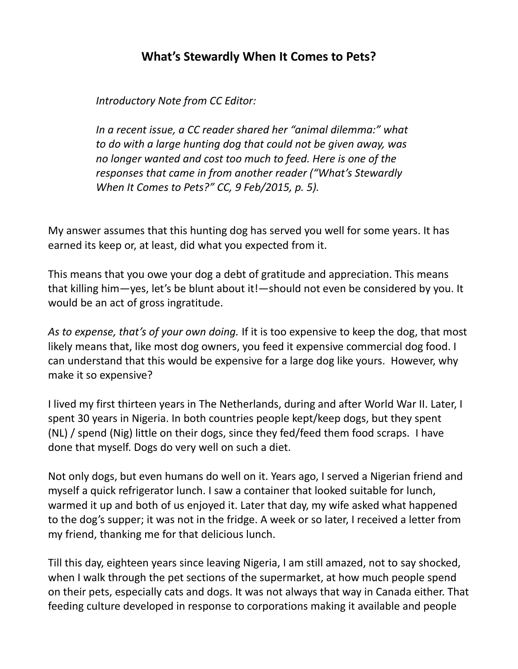## **What's Stewardly When It Comes to Pets?**

*Introductory Note from CC Editor:*

*In a recent issue, a CC reader shared her "animal dilemma:" what to do with a large hunting dog that could not be given away, was no longer wanted and cost too much to feed. Here is one of the responses that came in from another reader ("What's Stewardly When It Comes to Pets?" CC, 9 Feb/2015, p. 5).*

My answer assumes that this hunting dog has served you well for some years. It has earned its keep or, at least, did what you expected from it.

This means that you owe your dog a debt of gratitude and appreciation. This means that killing him—yes, let's be blunt about it!—should not even be considered by you. It would be an act of gross ingratitude.

*As to expense, that's of your own doing.* If it is too expensive to keep the dog, that most likely means that, like most dog owners, you feed it expensive commercial dog food. I can understand that this would be expensive for a large dog like yours. However, why make it so expensive?

I lived my first thirteen years in The Netherlands, during and after World War II. Later, I spent 30 years in Nigeria. In both countries people kept/keep dogs, but they spent (NL) / spend (Nig) little on their dogs, since they fed/feed them food scraps. I have done that myself. Dogs do very well on such a diet.

Not only dogs, but even humans do well on it. Years ago, I served a Nigerian friend and myself a quick refrigerator lunch. I saw a container that looked suitable for lunch, warmed it up and both of us enjoyed it. Later that day, my wife asked what happened to the dog's supper; it was not in the fridge. A week or so later, I received a letter from my friend, thanking me for that delicious lunch.

Till this day, eighteen years since leaving Nigeria, I am still amazed, not to say shocked, when I walk through the pet sections of the supermarket, at how much people spend on their pets, especially cats and dogs. It was not always that way in Canada either. That feeding culture developed in response to corporations making it available and people